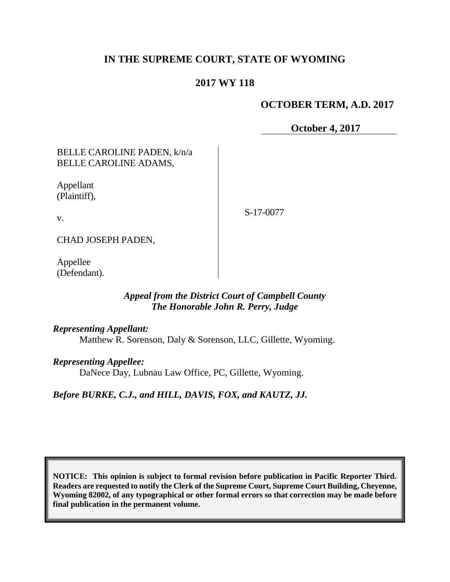## **IN THE SUPREME COURT, STATE OF WYOMING**

## **2017 WY 118**

## **OCTOBER TERM, A.D. 2017**

**October 4, 2017**

### BELLE CAROLINE PADEN, k/n/a BELLE CAROLINE ADAMS,

Appellant (Plaintiff),

v.

S-17-0077

CHAD JOSEPH PADEN,

Appellee (Defendant).

## *Appeal from the District Court of Campbell County The Honorable John R. Perry, Judge*

### *Representing Appellant:*

Matthew R. Sorenson, Daly & Sorenson, LLC, Gillette, Wyoming.

### *Representing Appellee:*

DaNece Day, Lubnau Law Office, PC, Gillette, Wyoming.

*Before BURKE, C.J., and HILL, DAVIS, FOX, and KAUTZ, JJ.*

**NOTICE: This opinion is subject to formal revision before publication in Pacific Reporter Third. Readers are requested to notify the Clerk of the Supreme Court, Supreme Court Building, Cheyenne, Wyoming 82002, of any typographical or other formal errors so that correction may be made before final publication in the permanent volume.**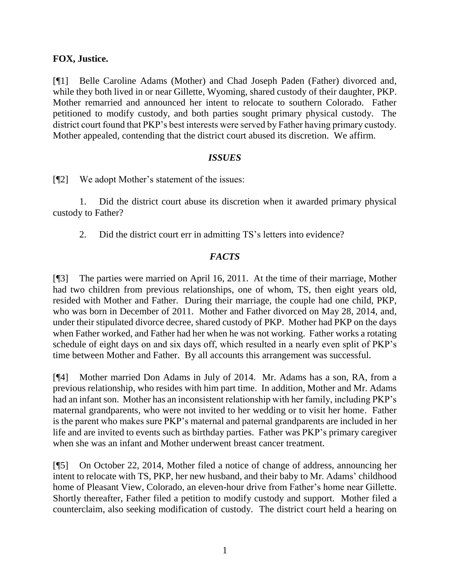### **FOX, Justice.**

[¶1] Belle Caroline Adams (Mother) and Chad Joseph Paden (Father) divorced and, while they both lived in or near Gillette, Wyoming, shared custody of their daughter, PKP. Mother remarried and announced her intent to relocate to southern Colorado. Father petitioned to modify custody, and both parties sought primary physical custody. The district court found that PKP's best interests were served by Father having primary custody. Mother appealed, contending that the district court abused its discretion. We affirm.

### *ISSUES*

[¶2] We adopt Mother's statement of the issues:

1. Did the district court abuse its discretion when it awarded primary physical custody to Father?

2. Did the district court err in admitting TS's letters into evidence?

## *FACTS*

[¶3] The parties were married on April 16, 2011. At the time of their marriage, Mother had two children from previous relationships, one of whom, TS, then eight years old, resided with Mother and Father. During their marriage, the couple had one child, PKP, who was born in December of 2011. Mother and Father divorced on May 28, 2014, and, under their stipulated divorce decree, shared custody of PKP. Mother had PKP on the days when Father worked, and Father had her when he was not working. Father works a rotating schedule of eight days on and six days off, which resulted in a nearly even split of PKP's time between Mother and Father. By all accounts this arrangement was successful.

[¶4] Mother married Don Adams in July of 2014. Mr. Adams has a son, RA, from a previous relationship, who resides with him part time. In addition, Mother and Mr. Adams had an infant son. Mother has an inconsistent relationship with her family, including PKP's maternal grandparents, who were not invited to her wedding or to visit her home. Father is the parent who makes sure PKP's maternal and paternal grandparents are included in her life and are invited to events such as birthday parties. Father was PKP's primary caregiver when she was an infant and Mother underwent breast cancer treatment.

[¶5] On October 22, 2014, Mother filed a notice of change of address, announcing her intent to relocate with TS, PKP, her new husband, and their baby to Mr. Adams' childhood home of Pleasant View, Colorado, an eleven-hour drive from Father's home near Gillette. Shortly thereafter, Father filed a petition to modify custody and support. Mother filed a counterclaim, also seeking modification of custody. The district court held a hearing on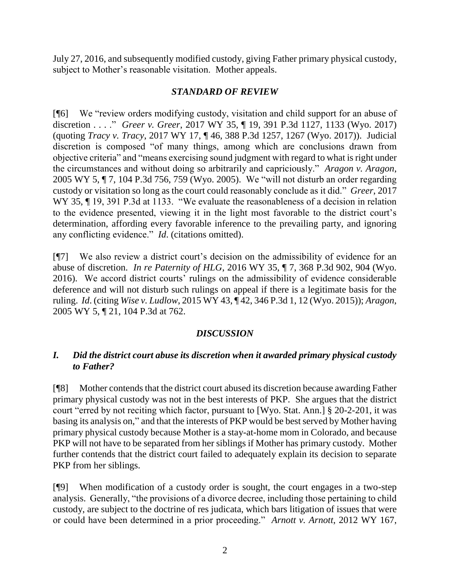July 27, 2016, and subsequently modified custody, giving Father primary physical custody, subject to Mother's reasonable visitation. Mother appeals.

## *STANDARD OF REVIEW*

[¶6] We "review orders modifying custody, visitation and child support for an abuse of discretion . . . ." *Greer v. Greer*, 2017 WY 35, ¶ 19, 391 P.3d 1127, 1133 (Wyo. 2017) (quoting *Tracy v. Tracy*, 2017 WY 17, ¶ 46, 388 P.3d 1257, 1267 (Wyo. 2017)). Judicial discretion is composed "of many things, among which are conclusions drawn from objective criteria" and "means exercising sound judgment with regard to what is right under the circumstances and without doing so arbitrarily and capriciously." *Aragon v. Aragon*, 2005 WY 5, ¶ 7, 104 P.3d 756, 759 (Wyo. 2005). We "will not disturb an order regarding custody or visitation so long as the court could reasonably conclude as it did." *Greer*, 2017 WY 35, ¶ 19, 391 P.3d at 1133. "We evaluate the reasonableness of a decision in relation to the evidence presented, viewing it in the light most favorable to the district court's determination, affording every favorable inference to the prevailing party, and ignoring any conflicting evidence." *Id*. (citations omitted).

[¶7] We also review a district court's decision on the admissibility of evidence for an abuse of discretion. *In re Paternity of HLG*, 2016 WY 35, ¶ 7, 368 P.3d 902, 904 (Wyo. 2016). We accord district courts' rulings on the admissibility of evidence considerable deference and will not disturb such rulings on appeal if there is a legitimate basis for the ruling. *Id*. (citing *Wise v. Ludlow*, 2015 WY 43, ¶ 42, 346 P.3d 1, 12 (Wyo. 2015)); *Aragon*, 2005 WY 5, ¶ 21, 104 P.3d at 762.

# *DISCUSSION*

# *I. Did the district court abuse its discretion when it awarded primary physical custody to Father?*

[¶8] Mother contends that the district court abused its discretion because awarding Father primary physical custody was not in the best interests of PKP. She argues that the district court "erred by not reciting which factor, pursuant to [Wyo. Stat. Ann.] § 20-2-201, it was basing its analysis on," and that the interests of PKP would be best served by Mother having primary physical custody because Mother is a stay-at-home mom in Colorado, and because PKP will not have to be separated from her siblings if Mother has primary custody. Mother further contends that the district court failed to adequately explain its decision to separate PKP from her siblings.

[¶9] When modification of a custody order is sought, the court engages in a two-step analysis. Generally, "the provisions of a divorce decree, including those pertaining to child custody, are subject to the doctrine of res judicata, which bars litigation of issues that were or could have been determined in a prior proceeding." *Arnott v. Arnott*, 2012 WY 167,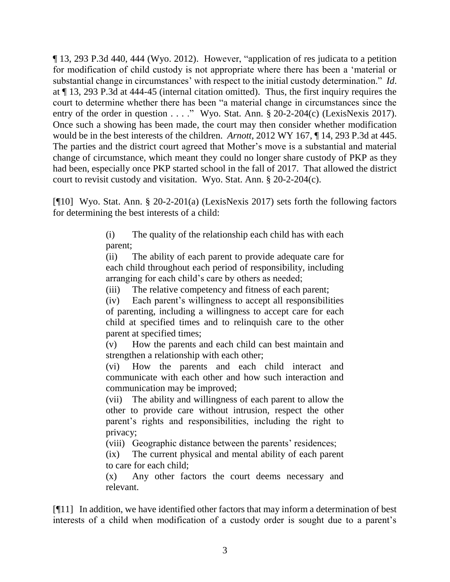¶ 13, 293 P.3d 440, 444 (Wyo. 2012). However, "application of res judicata to a petition for modification of child custody is not appropriate where there has been a 'material or substantial change in circumstances' with respect to the initial custody determination." *Id*. at ¶ 13, 293 P.3d at 444-45 (internal citation omitted). Thus, the first inquiry requires the court to determine whether there has been "a material change in circumstances since the entry of the order in question . . . ." Wyo. Stat. Ann.  $\S 20-2-204(c)$  (LexisNexis 2017). Once such a showing has been made, the court may then consider whether modification would be in the best interests of the children. *Arnott*, 2012 WY 167, ¶ 14, 293 P.3d at 445. The parties and the district court agreed that Mother's move is a substantial and material change of circumstance, which meant they could no longer share custody of PKP as they had been, especially once PKP started school in the fall of 2017. That allowed the district court to revisit custody and visitation. Wyo. Stat. Ann. § 20-2-204(c).

[¶10] Wyo. Stat. Ann. § 20-2-201(a) (LexisNexis 2017) sets forth the following factors for determining the best interests of a child:

> (i) The quality of the relationship each child has with each parent;

> (ii) The ability of each parent to provide adequate care for each child throughout each period of responsibility, including arranging for each child's care by others as needed;

(iii) The relative competency and fitness of each parent;

(iv) Each parent's willingness to accept all responsibilities of parenting, including a willingness to accept care for each child at specified times and to relinquish care to the other parent at specified times;

(v) How the parents and each child can best maintain and strengthen a relationship with each other;

(vi) How the parents and each child interact and communicate with each other and how such interaction and communication may be improved;

(vii) The ability and willingness of each parent to allow the other to provide care without intrusion, respect the other parent's rights and responsibilities, including the right to privacy;

(viii) Geographic distance between the parents' residences;

(ix) The current physical and mental ability of each parent to care for each child;

(x) Any other factors the court deems necessary and relevant.

[¶11] In addition, we have identified other factors that may inform a determination of best interests of a child when modification of a custody order is sought due to a parent's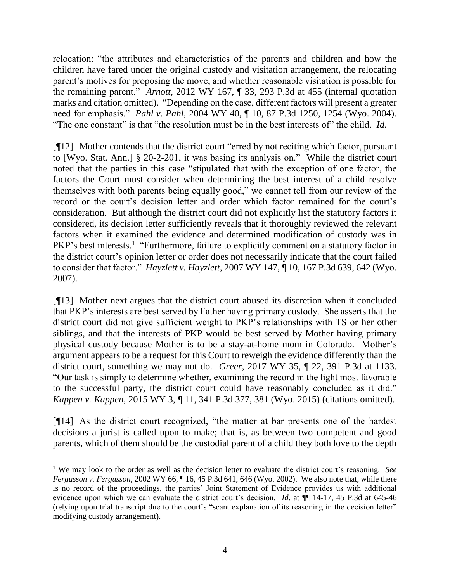relocation: "the attributes and characteristics of the parents and children and how the children have fared under the original custody and visitation arrangement, the relocating parent's motives for proposing the move, and whether reasonable visitation is possible for the remaining parent." *Arnott*, 2012 WY 167, ¶ 33, 293 P.3d at 455 (internal quotation marks and citation omitted). "Depending on the case, different factors will present a greater need for emphasis." *Pahl v. Pahl*, 2004 WY 40, ¶ 10, 87 P.3d 1250, 1254 (Wyo. 2004). "The one constant" is that "the resolution must be in the best interests of" the child. *Id*.

[¶12] Mother contends that the district court "erred by not reciting which factor, pursuant to [Wyo. Stat. Ann.] § 20-2-201, it was basing its analysis on." While the district court noted that the parties in this case "stipulated that with the exception of one factor, the factors the Court must consider when determining the best interest of a child resolve themselves with both parents being equally good," we cannot tell from our review of the record or the court's decision letter and order which factor remained for the court's consideration. But although the district court did not explicitly list the statutory factors it considered, its decision letter sufficiently reveals that it thoroughly reviewed the relevant factors when it examined the evidence and determined modification of custody was in PKP's best interests.<sup>1</sup> "Furthermore, failure to explicitly comment on a statutory factor in the district court's opinion letter or order does not necessarily indicate that the court failed to consider that factor." *Hayzlett v. Hayzlett*, 2007 WY 147, ¶ 10, 167 P.3d 639, 642 (Wyo. 2007).

[¶13] Mother next argues that the district court abused its discretion when it concluded that PKP's interests are best served by Father having primary custody. She asserts that the district court did not give sufficient weight to PKP's relationships with TS or her other siblings, and that the interests of PKP would be best served by Mother having primary physical custody because Mother is to be a stay-at-home mom in Colorado. Mother's argument appears to be a request for this Court to reweigh the evidence differently than the district court, something we may not do. *Greer*, 2017 WY 35, ¶ 22, 391 P.3d at 1133. "Our task is simply to determine whether, examining the record in the light most favorable to the successful party, the district court could have reasonably concluded as it did." *Kappen v. Kappen*, 2015 WY 3, ¶ 11, 341 P.3d 377, 381 (Wyo. 2015) (citations omitted).

[¶14] As the district court recognized, "the matter at bar presents one of the hardest decisions a jurist is called upon to make; that is, as between two competent and good parents, which of them should be the custodial parent of a child they both love to the depth

<sup>1</sup> We may look to the order as well as the decision letter to evaluate the district court's reasoning. *See Fergusson v. Fergusson*, 2002 WY 66, ¶ 16, 45 P.3d 641, 646 (Wyo. 2002). We also note that, while there is no record of the proceedings, the parties' Joint Statement of Evidence provides us with additional evidence upon which we can evaluate the district court's decision. *Id*. at ¶¶ 14-17, 45 P.3d at 645-46 (relying upon trial transcript due to the court's "scant explanation of its reasoning in the decision letter" modifying custody arrangement).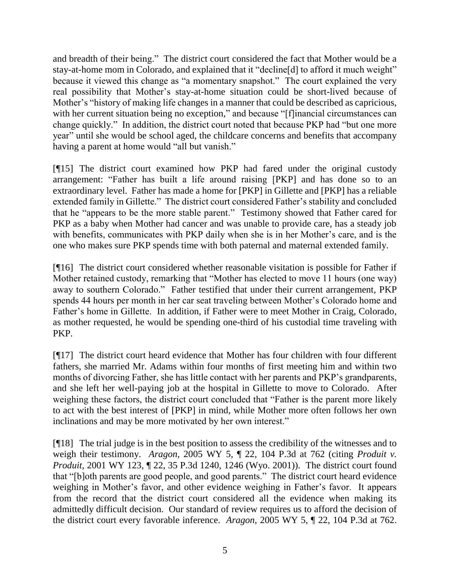and breadth of their being." The district court considered the fact that Mother would be a stay-at-home mom in Colorado, and explained that it "decline[d] to afford it much weight" because it viewed this change as "a momentary snapshot." The court explained the very real possibility that Mother's stay-at-home situation could be short-lived because of Mother's "history of making life changes in a manner that could be described as capricious, with her current situation being no exception," and because "[f]inancial circumstances can change quickly." In addition, the district court noted that because PKP had "but one more year" until she would be school aged, the childcare concerns and benefits that accompany having a parent at home would "all but vanish."

[¶15] The district court examined how PKP had fared under the original custody arrangement: "Father has built a life around raising [PKP] and has done so to an extraordinary level. Father has made a home for [PKP] in Gillette and [PKP] has a reliable extended family in Gillette." The district court considered Father's stability and concluded that he "appears to be the more stable parent." Testimony showed that Father cared for PKP as a baby when Mother had cancer and was unable to provide care, has a steady job with benefits, communicates with PKP daily when she is in her Mother's care, and is the one who makes sure PKP spends time with both paternal and maternal extended family.

[¶16] The district court considered whether reasonable visitation is possible for Father if Mother retained custody, remarking that "Mother has elected to move 11 hours (one way) away to southern Colorado." Father testified that under their current arrangement, PKP spends 44 hours per month in her car seat traveling between Mother's Colorado home and Father's home in Gillette. In addition, if Father were to meet Mother in Craig, Colorado, as mother requested, he would be spending one-third of his custodial time traveling with PKP.

[¶17] The district court heard evidence that Mother has four children with four different fathers, she married Mr. Adams within four months of first meeting him and within two months of divorcing Father, she has little contact with her parents and PKP's grandparents, and she left her well-paying job at the hospital in Gillette to move to Colorado. After weighing these factors, the district court concluded that "Father is the parent more likely to act with the best interest of [PKP] in mind, while Mother more often follows her own inclinations and may be more motivated by her own interest."

[¶18] The trial judge is in the best position to assess the credibility of the witnesses and to weigh their testimony. *Aragon*, 2005 WY 5, ¶ 22, 104 P.3d at 762 (citing *Produit v. Produit*, 2001 WY 123, ¶ 22, 35 P.3d 1240, 1246 (Wyo. 2001)). The district court found that "[b]oth parents are good people, and good parents." The district court heard evidence weighing in Mother's favor, and other evidence weighing in Father's favor. It appears from the record that the district court considered all the evidence when making its admittedly difficult decision. Our standard of review requires us to afford the decision of the district court every favorable inference. *Aragon*, 2005 WY 5, ¶ 22, 104 P.3d at 762.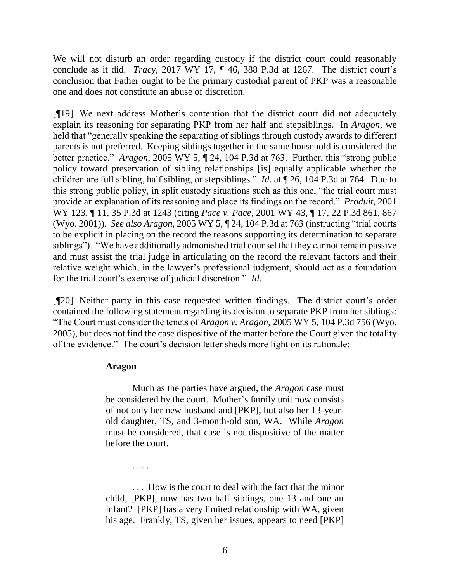We will not disturb an order regarding custody if the district court could reasonably conclude as it did. *Tracy*, 2017 WY 17, ¶ 46, 388 P.3d at 1267. The district court's conclusion that Father ought to be the primary custodial parent of PKP was a reasonable one and does not constitute an abuse of discretion.

[¶19] We next address Mother's contention that the district court did not adequately explain its reasoning for separating PKP from her half and stepsiblings. In *Aragon*, we held that "generally speaking the separating of siblings through custody awards to different parents is not preferred. Keeping siblings together in the same household is considered the better practice." *Aragon*, 2005 WY 5, ¶ 24, 104 P.3d at 763. Further, this "strong public policy toward preservation of sibling relationships [is] equally applicable whether the children are full sibling, half sibling, or stepsiblings." *Id*. at ¶ 26, 104 P.3d at 764. Due to this strong public policy, in split custody situations such as this one, "the trial court must provide an explanation of its reasoning and place its findings on the record." *Produit*, 2001 WY 123, ¶ 11, 35 P.3d at 1243 (citing *Pace v. Pace*, 2001 WY 43, ¶ 17, 22 P.3d 861, 867 (Wyo. 2001)). *See also Aragon*, 2005 WY 5, ¶ 24, 104 P.3d at 763 (instructing "trial courts to be explicit in placing on the record the reasons supporting its determination to separate siblings"). "We have additionally admonished trial counsel that they cannot remain passive and must assist the trial judge in articulating on the record the relevant factors and their relative weight which, in the lawyer's professional judgment, should act as a foundation for the trial court's exercise of judicial discretion." *Id*.

[¶20] Neither party in this case requested written findings. The district court's order contained the following statement regarding its decision to separate PKP from her siblings: "The Court must consider the tenets of *Aragon v. Aragon*, 2005 WY 5, 104 P.3d 756 (Wyo. 2005), but does not find the case dispositive of the matter before the Court given the totality of the evidence." The court's decision letter sheds more light on its rationale:

### **Aragon**

. . . .

Much as the parties have argued, the *Aragon* case must be considered by the court. Mother's family unit now consists of not only her new husband and [PKP], but also her 13-yearold daughter, TS, and 3-month-old son, WA. While *Aragon* must be considered, that case is not dispositive of the matter before the court.

. . . How is the court to deal with the fact that the minor child, [PKP], now has two half siblings, one 13 and one an infant? [PKP] has a very limited relationship with WA, given his age. Frankly, TS, given her issues, appears to need [PKP]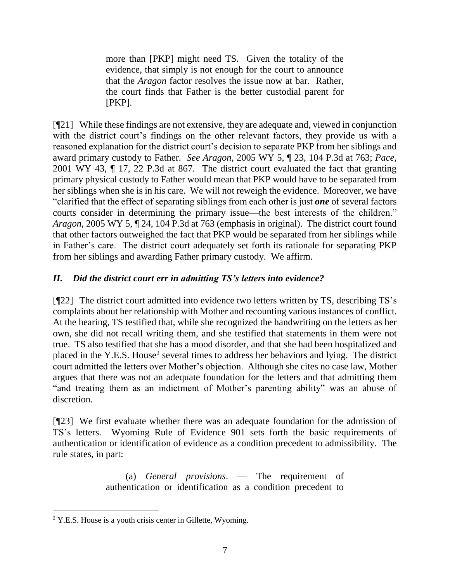more than [PKP] might need TS. Given the totality of the evidence, that simply is not enough for the court to announce that the *Aragon* factor resolves the issue now at bar. Rather, the court finds that Father is the better custodial parent for [PKP].

[¶21] While these findings are not extensive, they are adequate and, viewed in conjunction with the district court's findings on the other relevant factors, they provide us with a reasoned explanation for the district court's decision to separate PKP from her siblings and award primary custody to Father. *See Aragon*, 2005 WY 5, ¶ 23, 104 P.3d at 763; *Pace*, 2001 WY 43, ¶ 17, 22 P.3d at 867. The district court evaluated the fact that granting primary physical custody to Father would mean that PKP would have to be separated from her siblings when she is in his care. We will not reweigh the evidence. Moreover, we have "clarified that the effect of separating siblings from each other is just *one* of several factors courts consider in determining the primary issue—the best interests of the children." *Aragon*, 2005 WY 5, ¶ 24, 104 P.3d at 763 (emphasis in original). The district court found that other factors outweighed the fact that PKP would be separated from her siblings while in Father's care. The district court adequately set forth its rationale for separating PKP from her siblings and awarding Father primary custody. We affirm.

# *II. Did the district court err in admitting TS's letters into evidence?*

[¶22] The district court admitted into evidence two letters written by TS, describing TS's complaints about her relationship with Mother and recounting various instances of conflict. At the hearing, TS testified that, while she recognized the handwriting on the letters as her own, she did not recall writing them, and she testified that statements in them were not true. TS also testified that she has a mood disorder, and that she had been hospitalized and placed in the Y.E.S. House<sup>2</sup> several times to address her behaviors and lying. The district court admitted the letters over Mother's objection. Although she cites no case law, Mother argues that there was not an adequate foundation for the letters and that admitting them "and treating them as an indictment of Mother's parenting ability" was an abuse of discretion.

[¶23] We first evaluate whether there was an adequate foundation for the admission of TS's letters. Wyoming Rule of Evidence 901 sets forth the basic requirements of authentication or identification of evidence as a condition precedent to admissibility. The rule states, in part:

> (a) *General provisions*. — The requirement of authentication or identification as a condition precedent to

<sup>&</sup>lt;sup>2</sup> Y.E.S. House is a youth crisis center in Gillette, Wyoming.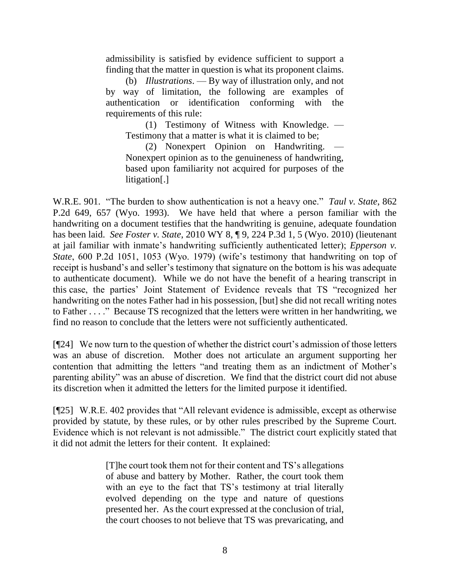admissibility is satisfied by evidence sufficient to support a finding that the matter in question is what its proponent claims.

(b) *Illustrations*. — By way of illustration only, and not by way of limitation, the following are examples of authentication or identification conforming with the requirements of this rule:

(1) Testimony of Witness with Knowledge. — Testimony that a matter is what it is claimed to be;

(2) Nonexpert Opinion on Handwriting. Nonexpert opinion as to the genuineness of handwriting, based upon familiarity not acquired for purposes of the litigation[.]

W.R.E. 901. "The burden to show authentication is not a heavy one." *Taul v. State*, 862 P.2d 649, 657 (Wyo. 1993). We have held that where a person familiar with the handwriting on a document testifies that the handwriting is genuine, adequate foundation has been laid. *See Foster v. State*, 2010 WY 8, ¶ 9, 224 P.3d 1, 5 (Wyo. 2010) (lieutenant at jail familiar with inmate's handwriting sufficiently authenticated letter); *Epperson v. State*, 600 P.2d 1051, 1053 (Wyo. 1979) (wife's testimony that handwriting on top of receipt is husband's and seller's testimony that signature on the bottom is his was adequate to authenticate document). While we do not have the benefit of a hearing transcript in this case, the parties' Joint Statement of Evidence reveals that TS "recognized her handwriting on the notes Father had in his possession, [but] she did not recall writing notes to Father . . . ." Because TS recognized that the letters were written in her handwriting, we find no reason to conclude that the letters were not sufficiently authenticated.

[¶24] We now turn to the question of whether the district court's admission of those letters was an abuse of discretion. Mother does not articulate an argument supporting her contention that admitting the letters "and treating them as an indictment of Mother's parenting ability" was an abuse of discretion. We find that the district court did not abuse its discretion when it admitted the letters for the limited purpose it identified.

[¶25] W.R.E. 402 provides that "All relevant evidence is admissible, except as otherwise provided by statute, by these rules, or by other rules prescribed by the Supreme Court. Evidence which is not relevant is not admissible." The district court explicitly stated that it did not admit the letters for their content. It explained:

> [T]he court took them not for their content and TS's allegations of abuse and battery by Mother. Rather, the court took them with an eye to the fact that TS's testimony at trial literally evolved depending on the type and nature of questions presented her. As the court expressed at the conclusion of trial, the court chooses to not believe that TS was prevaricating, and